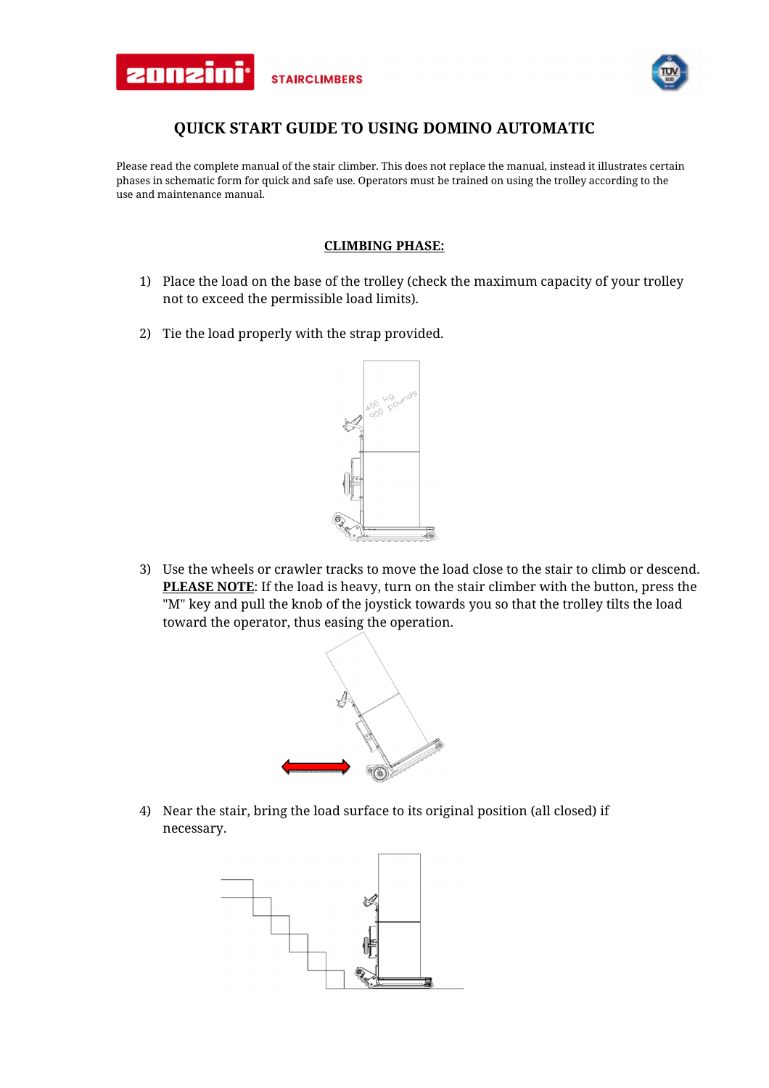



## **QUICK START GUIDE TO USING DOMINO AUTOMATIC**

Please read the complete manual of the stair climber. This does not replace the manual, instead it illustrates certain phases in schematic form for quick and safe use. Operators must be trained on using the trolley according to the use and maintenance manual.

## **CLIMBING PHASE:**

- 1) Place the load on the base of the trolley (check the maximum capacity of your trolley not to exceed the permissible load limits).
- 2) Tie the load properly with the strap provided.



3) Use the wheels or crawler tracks to move the load close to the stair to climb or descend. **PLEASE NOTE**: If the load is heavy, turn on the stair climber with the button, press the "M" key and pull the knob of the joystick towards you so that the trolley tilts the load toward the operator, thus easing the operation.



4) Near the stair, bring the load surface to its original position (all closed) if necessary.

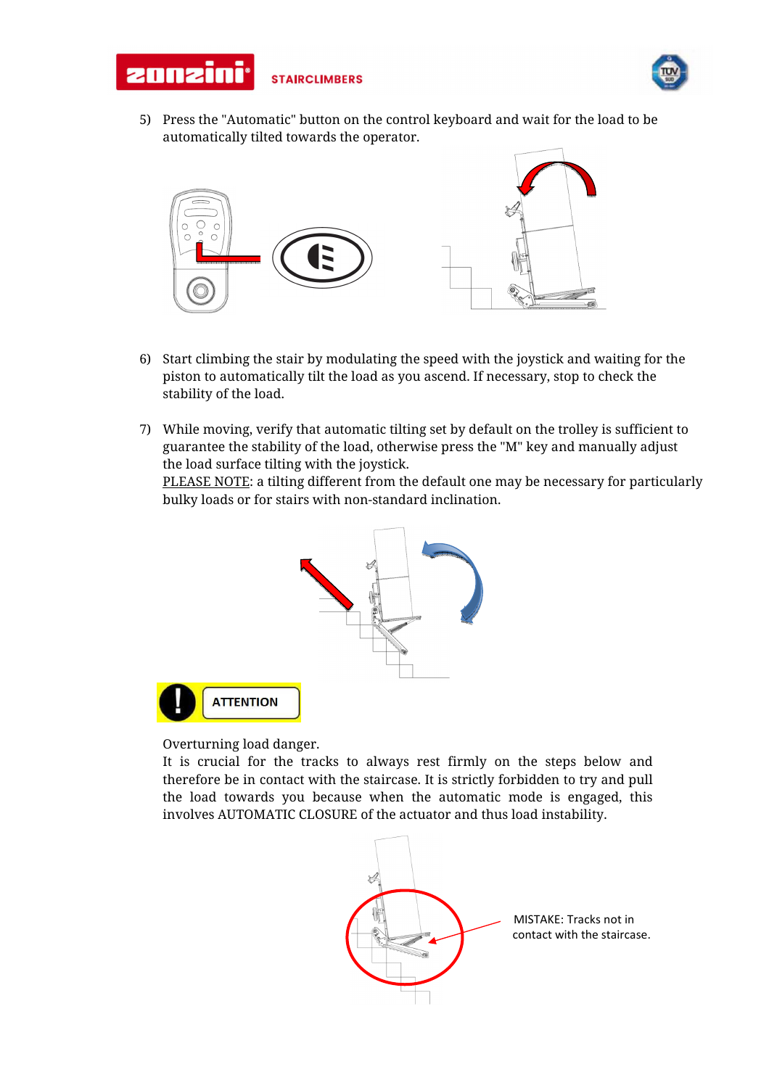



5) Press the "Automatic" button on the control keyboard and wait for the load to be automatically tilted towards the operator.



- 6) Start climbing the stair by modulating the speed with the joystick and waiting for the piston to automatically tilt the load as you ascend. If necessary, stop to check the stability of the load.
- 7) While moving, verify that automatic tilting set by default on the trolley is sufficient to guarantee the stability of the load, otherwise press the "M" key and manually adjust the load surface tilting with the joystick.

PLEASE NOTE: a tilting different from the default one may be necessary for particularly bulky loads or for stairs with non-standard inclination.



Overturning load danger.

It is crucial for the tracks to always rest firmly on the steps below and therefore be in contact with the staircase. It is strictly forbidden to try and pull the load towards you because when the automatic mode is engaged, this involves AUTOMATIC CLOSURE of the actuator and thus load instability.

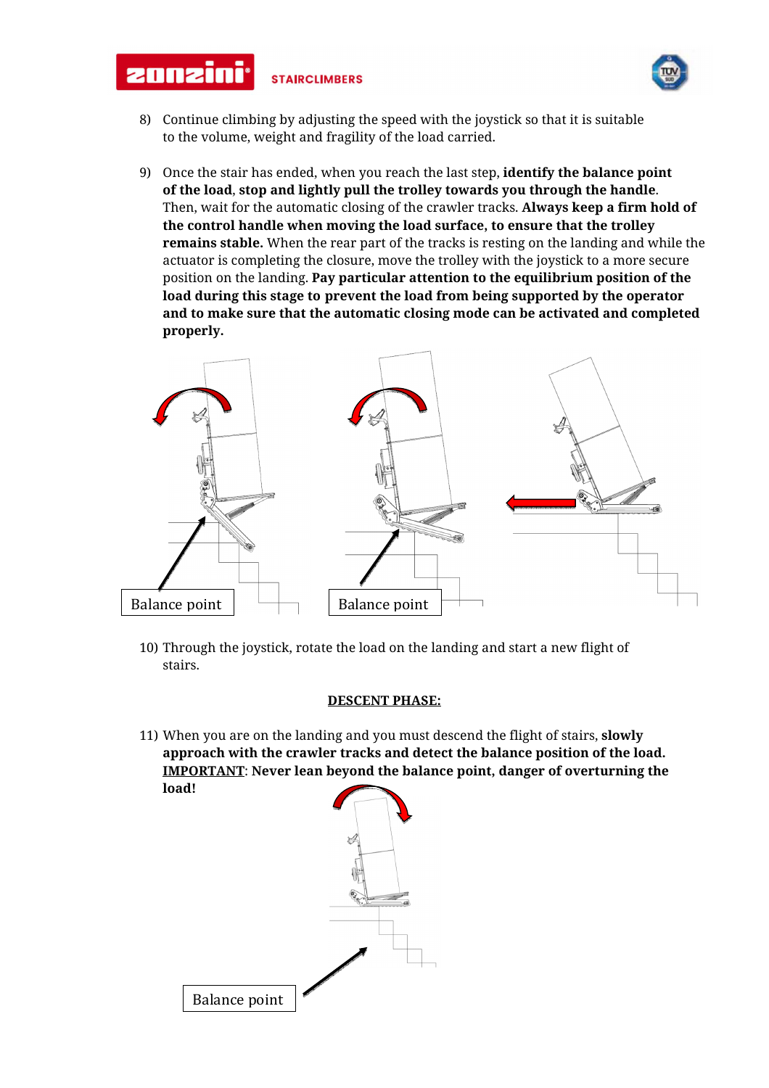



- 8) Continue climbing by adjusting the speed with the joystick so that it is suitable to the volume, weight and fragility of the load carried.
- 9) Once the stair has ended, when you reach the last step, **identify the balance point of the load**, **stop and lightly pull the trolley towards you through the handle**. Then, wait for the automatic closing of the crawler tracks. **Always keep a firm hold of the control handle when moving the load surface, to ensure that the trolley remains stable.** When the rear part of the tracks is resting on the landing and while the actuator is completing the closure, move the trolley with the joystick to a more secure position on the landing. **Pay particular attention to the equilibrium position of the load during this stage to prevent the load from being supported by the operator and to make sure that the automatic closing mode can be activated and completed properly.**



10) Through the joystick, rotate the load on the landing and start a new flight of stairs.

## **DESCENT PHASE:**

11) When you are on the landing and you must descend the flight of stairs, **slowly approach with the crawler tracks and detect the balance position of the load. IMPORTANT**: **Never lean beyond the balance point, danger of overturning the load!**